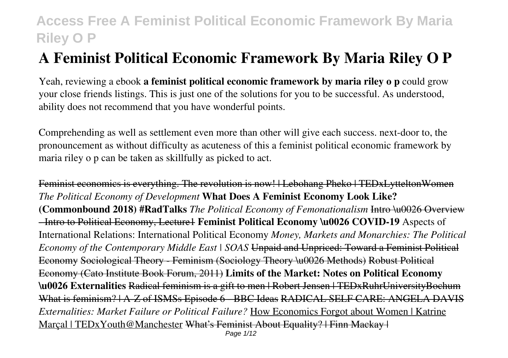# **A Feminist Political Economic Framework By Maria Riley O P**

Yeah, reviewing a ebook **a feminist political economic framework by maria riley o p** could grow your close friends listings. This is just one of the solutions for you to be successful. As understood, ability does not recommend that you have wonderful points.

Comprehending as well as settlement even more than other will give each success. next-door to, the pronouncement as without difficulty as acuteness of this a feminist political economic framework by maria riley o p can be taken as skillfully as picked to act.

Feminist economics is everything. The revolution is now! | Lebohang Pheko | TEDxLytteltonWomen *The Political Economy of Development* **What Does A Feminist Economy Look Like? (Commonbound 2018) #RadTalks** *The Political Economy of Femonationalism* Intro \u0026 Overview - Intro to Political Economy, Lecture1 **Feminist Political Economy \u0026 COVID-19** Aspects of International Relations: International Political Economy *Money, Markets and Monarchies: The Political Economy of the Contemporary Middle East | SOAS* Unpaid and Unpriced: Toward a Feminist Political Economy Sociological Theory - Feminism (Sociology Theory \u0026 Methods) Robust Political Economy (Cato Institute Book Forum, 2011) **Limits of the Market: Notes on Political Economy \u0026 Externalities** Radical feminism is a gift to men | Robert Jensen | TEDxRuhrUniversityBochum What is feminism? | A-Z of ISMSs Episode 6 - BBC Ideas RADICAL SELF CARE: ANGELA DAVIS *Externalities: Market Failure or Political Failure?* How Economics Forgot about Women | Katrine Marcal | TEDx Youth @ Manchester What's Feminist About Equality? | Finn Mackay | Page 1/12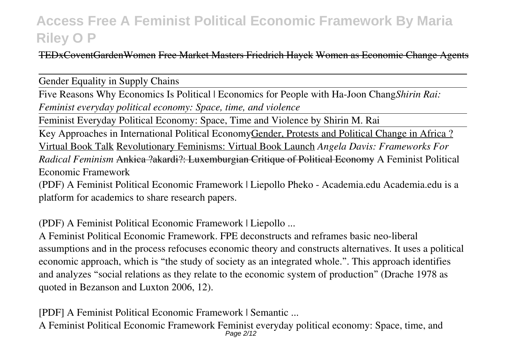TEDxCoventGardenWomen Free Market Masters Friedrich Hayek Women as Economic Change Agents

Gender Equality in Supply Chains

Five Reasons Why Economics Is Political | Economics for People with Ha-Joon Chang*Shirin Rai: Feminist everyday political economy: Space, time, and violence*

Feminist Everyday Political Economy: Space, Time and Violence by Shirin M. Rai

Key Approaches in International Political EconomyGender, Protests and Political Change in Africa? Virtual Book Talk Revolutionary Feminisms: Virtual Book Launch *Angela Davis: Frameworks For Radical Feminism* Ankica ?akardi?: Luxemburgian Critique of Political Economy A Feminist Political Economic Framework

(PDF) A Feminist Political Economic Framework | Liepollo Pheko - Academia.edu Academia.edu is a platform for academics to share research papers.

(PDF) A Feminist Political Economic Framework | Liepollo ...

A Feminist Political Economic Framework. FPE deconstructs and reframes basic neo-liberal assumptions and in the process refocuses economic theory and constructs alternatives. It uses a political economic approach, which is "the study of society as an integrated whole.". This approach identifies and analyzes "social relations as they relate to the economic system of production" (Drache 1978 as quoted in Bezanson and Luxton 2006, 12).

[PDF] A Feminist Political Economic Framework | Semantic ...

A Feminist Political Economic Framework Feminist everyday political economy: Space, time, and Page 2/12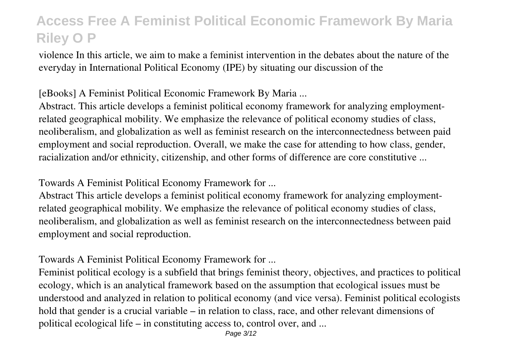violence In this article, we aim to make a feminist intervention in the debates about the nature of the everyday in International Political Economy (IPE) by situating our discussion of the

#### [eBooks] A Feminist Political Economic Framework By Maria ...

Abstract. This article develops a feminist political economy framework for analyzing employmentrelated geographical mobility. We emphasize the relevance of political economy studies of class, neoliberalism, and globalization as well as feminist research on the interconnectedness between paid employment and social reproduction. Overall, we make the case for attending to how class, gender, racialization and/or ethnicity, citizenship, and other forms of difference are core constitutive ...

Towards A Feminist Political Economy Framework for ...

Abstract This article develops a feminist political economy framework for analyzing employmentrelated geographical mobility. We emphasize the relevance of political economy studies of class, neoliberalism, and globalization as well as feminist research on the interconnectedness between paid employment and social reproduction.

Towards A Feminist Political Economy Framework for ...

Feminist political ecology is a subfield that brings feminist theory, objectives, and practices to political ecology, which is an analytical framework based on the assumption that ecological issues must be understood and analyzed in relation to political economy (and vice versa). Feminist political ecologists hold that gender is a crucial variable – in relation to class, race, and other relevant dimensions of political ecological life – in constituting access to, control over, and ...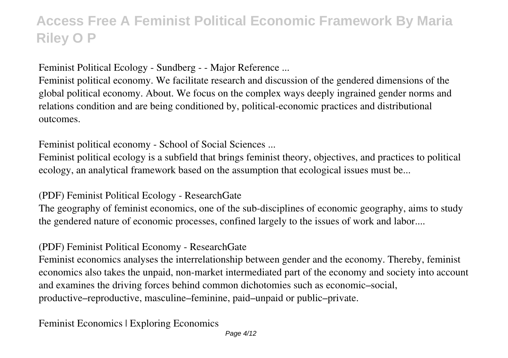Feminist Political Ecology - Sundberg - - Major Reference ...

Feminist political economy. We facilitate research and discussion of the gendered dimensions of the global political economy. About. We focus on the complex ways deeply ingrained gender norms and relations condition and are being conditioned by, political-economic practices and distributional outcomes.

Feminist political economy - School of Social Sciences ...

Feminist political ecology is a subfield that brings feminist theory, objectives, and practices to political ecology, an analytical framework based on the assumption that ecological issues must be...

(PDF) Feminist Political Ecology - ResearchGate

The geography of feminist economics, one of the sub-disciplines of economic geography, aims to study the gendered nature of economic processes, confined largely to the issues of work and labor....

#### (PDF) Feminist Political Economy - ResearchGate

Feminist economics analyses the interrelationship between gender and the economy. Thereby, feminist economics also takes the unpaid, non-market intermediated part of the economy and society into account and examines the driving forces behind common dichotomies such as economic–social, productive–reproductive, masculine–feminine, paid–unpaid or public–private.

Feminist Economics | Exploring Economics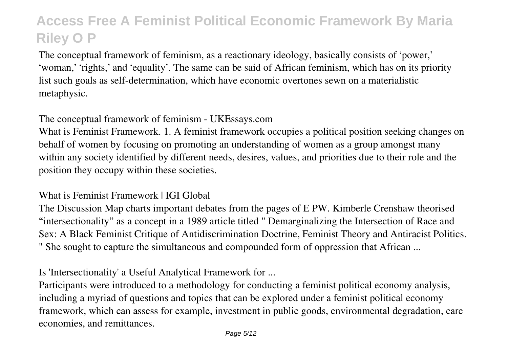The conceptual framework of feminism, as a reactionary ideology, basically consists of 'power,' 'woman,' 'rights,' and 'equality'. The same can be said of African feminism, which has on its priority list such goals as self-determination, which have economic overtones sewn on a materialistic metaphysic.

#### The conceptual framework of feminism - UKEssays.com

What is Feminist Framework. 1. A feminist framework occupies a political position seeking changes on behalf of women by focusing on promoting an understanding of women as a group amongst many within any society identified by different needs, desires, values, and priorities due to their role and the position they occupy within these societies.

#### What is Feminist Framework | IGI Global

The Discussion Map charts important debates from the pages of E PW. Kimberle Crenshaw theorised "intersectionality" as a concept in a 1989 article titled " Demarginalizing the Intersection of Race and Sex: A Black Feminist Critique of Antidiscrimination Doctrine, Feminist Theory and Antiracist Politics. " She sought to capture the simultaneous and compounded form of oppression that African ...

Is 'Intersectionality' a Useful Analytical Framework for ...

Participants were introduced to a methodology for conducting a feminist political economy analysis, including a myriad of questions and topics that can be explored under a feminist political economy framework, which can assess for example, investment in public goods, environmental degradation, care economies, and remittances.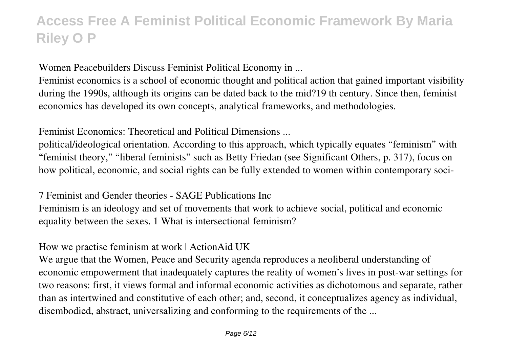Women Peacebuilders Discuss Feminist Political Economy in ...

Feminist economics is a school of economic thought and political action that gained important visibility during the 1990s, although its origins can be dated back to the mid?19 th century. Since then, feminist economics has developed its own concepts, analytical frameworks, and methodologies.

Feminist Economics: Theoretical and Political Dimensions ...

political/ideological orientation. According to this approach, which typically equates "feminism" with "feminist theory," "liberal feminists" such as Betty Friedan (see Significant Others, p. 317), focus on how political, economic, and social rights can be fully extended to women within contemporary soci-

7 Feminist and Gender theories - SAGE Publications Inc

Feminism is an ideology and set of movements that work to achieve social, political and economic equality between the sexes. 1 What is intersectional feminism?

How we practise feminism at work | ActionAid UK

We argue that the Women, Peace and Security agenda reproduces a neoliberal understanding of economic empowerment that inadequately captures the reality of women's lives in post-war settings for two reasons: first, it views formal and informal economic activities as dichotomous and separate, rather than as intertwined and constitutive of each other; and, second, it conceptualizes agency as individual, disembodied, abstract, universalizing and conforming to the requirements of the ...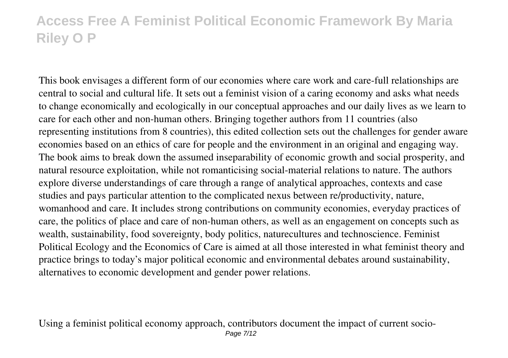This book envisages a different form of our economies where care work and care-full relationships are central to social and cultural life. It sets out a feminist vision of a caring economy and asks what needs to change economically and ecologically in our conceptual approaches and our daily lives as we learn to care for each other and non-human others. Bringing together authors from 11 countries (also representing institutions from 8 countries), this edited collection sets out the challenges for gender aware economies based on an ethics of care for people and the environment in an original and engaging way. The book aims to break down the assumed inseparability of economic growth and social prosperity, and natural resource exploitation, while not romanticising social-material relations to nature. The authors explore diverse understandings of care through a range of analytical approaches, contexts and case studies and pays particular attention to the complicated nexus between re/productivity, nature, womanhood and care. It includes strong contributions on community economies, everyday practices of care, the politics of place and care of non-human others, as well as an engagement on concepts such as wealth, sustainability, food sovereignty, body politics, naturecultures and technoscience. Feminist Political Ecology and the Economics of Care is aimed at all those interested in what feminist theory and practice brings to today's major political economic and environmental debates around sustainability, alternatives to economic development and gender power relations.

Using a feminist political economy approach, contributors document the impact of current socio-Page 7/12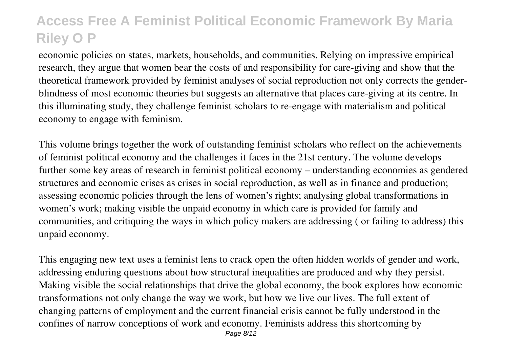economic policies on states, markets, households, and communities. Relying on impressive empirical research, they argue that women bear the costs of and responsibility for care-giving and show that the theoretical framework provided by feminist analyses of social reproduction not only corrects the genderblindness of most economic theories but suggests an alternative that places care-giving at its centre. In this illuminating study, they challenge feminist scholars to re-engage with materialism and political economy to engage with feminism.

This volume brings together the work of outstanding feminist scholars who reflect on the achievements of feminist political economy and the challenges it faces in the 21st century. The volume develops further some key areas of research in feminist political economy – understanding economies as gendered structures and economic crises as crises in social reproduction, as well as in finance and production; assessing economic policies through the lens of women's rights; analysing global transformations in women's work; making visible the unpaid economy in which care is provided for family and communities, and critiquing the ways in which policy makers are addressing ( or failing to address) this unpaid economy.

This engaging new text uses a feminist lens to crack open the often hidden worlds of gender and work, addressing enduring questions about how structural inequalities are produced and why they persist. Making visible the social relationships that drive the global economy, the book explores how economic transformations not only change the way we work, but how we live our lives. The full extent of changing patterns of employment and the current financial crisis cannot be fully understood in the confines of narrow conceptions of work and economy. Feminists address this shortcoming by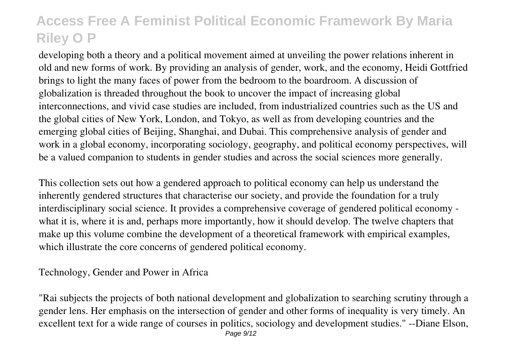developing both a theory and a political movement aimed at unveiling the power relations inherent in old and new forms of work. By providing an analysis of gender, work, and the economy, Heidi Gottfried brings to light the many faces of power from the bedroom to the boardroom. A discussion of globalization is threaded throughout the book to uncover the impact of increasing global interconnections, and vivid case studies are included, from industrialized countries such as the US and the global cities of New York, London, and Tokyo, as well as from developing countries and the emerging global cities of Beijing, Shanghai, and Dubai. This comprehensive analysis of gender and work in a global economy, incorporating sociology, geography, and political economy perspectives, will be a valued companion to students in gender studies and across the social sciences more generally.

This collection sets out how a gendered approach to political economy can help us understand the inherently gendered structures that characterise our society, and provide the foundation for a truly interdisciplinary social science. It provides a comprehensive coverage of gendered political economy what it is, where it is and, perhaps more importantly, how it should develop. The twelve chapters that make up this volume combine the development of a theoretical framework with empirical examples, which illustrate the core concerns of gendered political economy.

#### Technology, Gender and Power in Africa

"Rai subjects the projects of both national development and globalization to searching scrutiny through a gender lens. Her emphasis on the intersection of gender and other forms of inequality is very timely. An excellent text for a wide range of courses in politics, sociology and development studies." --Diane Elson, Page  $9/12$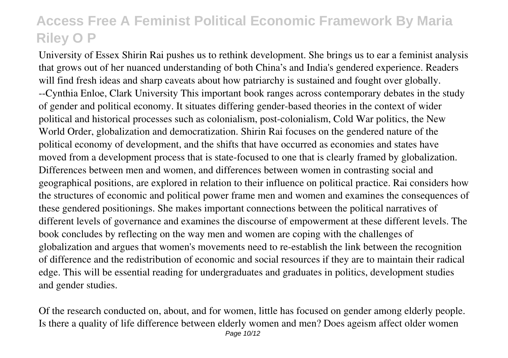University of Essex Shirin Rai pushes us to rethink development. She brings us to ear a feminist analysis that grows out of her nuanced understanding of both China's and India's gendered experience. Readers will find fresh ideas and sharp caveats about how patriarchy is sustained and fought over globally. --Cynthia Enloe, Clark University This important book ranges across contemporary debates in the study of gender and political economy. It situates differing gender-based theories in the context of wider political and historical processes such as colonialism, post-colonialism, Cold War politics, the New World Order, globalization and democratization. Shirin Rai focuses on the gendered nature of the political economy of development, and the shifts that have occurred as economies and states have moved from a development process that is state-focused to one that is clearly framed by globalization. Differences between men and women, and differences between women in contrasting social and geographical positions, are explored in relation to their influence on political practice. Rai considers how the structures of economic and political power frame men and women and examines the consequences of these gendered positionings. She makes important connections between the political narratives of different levels of governance and examines the discourse of empowerment at these different levels. The book concludes by reflecting on the way men and women are coping with the challenges of globalization and argues that women's movements need to re-establish the link between the recognition of difference and the redistribution of economic and social resources if they are to maintain their radical edge. This will be essential reading for undergraduates and graduates in politics, development studies and gender studies.

Of the research conducted on, about, and for women, little has focused on gender among elderly people. Is there a quality of life difference between elderly women and men? Does ageism affect older women Page 10/12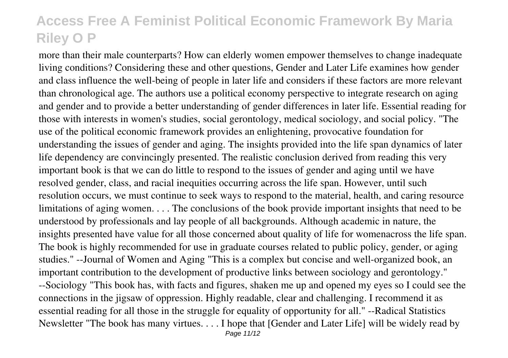more than their male counterparts? How can elderly women empower themselves to change inadequate living conditions? Considering these and other questions, Gender and Later Life examines how gender and class influence the well-being of people in later life and considers if these factors are more relevant than chronological age. The authors use a political economy perspective to integrate research on aging and gender and to provide a better understanding of gender differences in later life. Essential reading for those with interests in women's studies, social gerontology, medical sociology, and social policy. "The use of the political economic framework provides an enlightening, provocative foundation for understanding the issues of gender and aging. The insights provided into the life span dynamics of later life dependency are convincingly presented. The realistic conclusion derived from reading this very important book is that we can do little to respond to the issues of gender and aging until we have resolved gender, class, and racial inequities occurring across the life span. However, until such resolution occurs, we must continue to seek ways to respond to the material, health, and caring resource limitations of aging women. . . . The conclusions of the book provide important insights that need to be understood by professionals and lay people of all backgrounds. Although academic in nature, the insights presented have value for all those concerned about quality of life for womenacross the life span. The book is highly recommended for use in graduate courses related to public policy, gender, or aging studies." --Journal of Women and Aging "This is a complex but concise and well-organized book, an important contribution to the development of productive links between sociology and gerontology." --Sociology "This book has, with facts and figures, shaken me up and opened my eyes so I could see the connections in the jigsaw of oppression. Highly readable, clear and challenging. I recommend it as essential reading for all those in the struggle for equality of opportunity for all." --Radical Statistics Newsletter "The book has many virtues. . . . I hope that [Gender and Later Life] will be widely read by